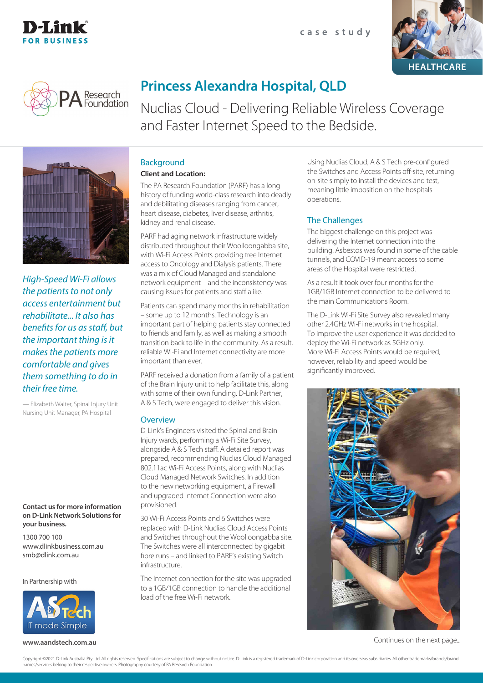



# **Princess Alexandra Hospital, QLD**

Nuclias Cloud - Delivering Reliable Wireless Coverage and Faster Internet Speed to the Bedside.



*High-Speed Wi-Fi allows the patients to not only access entertainment but rehabilitate... It also has benefits for us as staff, but the important thing is it makes the patients more comfortable and gives them something to do in their free time.* 

— Elizabeth Walter, Spinal Injury Unit Nursing Unit Manager, PA Hospital

#### **Contact us for more information on D-Link Network Solutions for your business.**

1300 700 100 www.dlinkbusiness.com.au smb@dlink.com.au

In Partnership with



**www.aandstech.com.au**

## **Background**

#### **Client and Location:**

The PA Research Foundation (PARF) has a long history of funding world-class research into deadly and debilitating diseases ranging from cancer, heart disease, diabetes, liver disease, arthritis, kidney and renal disease.

PARF had aging network infrastructure widely distributed throughout their Woolloongabba site, with Wi-Fi Access Points providing free Internet access to Oncology and Dialysis patients. There was a mix of Cloud Managed and standalone network equipment – and the inconsistency was causing issues for patients and staff alike.

Patients can spend many months in rehabilitation – some up to 12 months. Technology is an important part of helping patients stay connected to friends and family, as well as making a smooth transition back to life in the community. As a result, reliable Wi-Fi and Internet connectivity are more important than ever.

PARF received a donation from a family of a patient of the Brain Injury unit to help facilitate this, along with some of their own funding. D-Link Partner, A & S Tech, were engaged to deliver this vision.

#### **Overview**

D-Link's Engineers visited the Spinal and Brain Injury wards, performing a Wi-Fi Site Survey, alongside A & S Tech staff. A detailed report was prepared, recommending Nuclias Cloud Managed 802.11ac Wi-Fi Access Points, along with Nuclias Cloud Managed Network Switches. In addition to the new networking equipment, a Firewall and upgraded Internet Connection were also provisioned.

30 Wi-Fi Access Points and 6 Switches were replaced with D-Link Nuclias Cloud Access Points and Switches throughout the Woolloongabba site. The Switches were all interconnected by gigabit fibre runs – and linked to PARF's existing Switch infrastructure.

The Internet connection for the site was upgraded to a 1GB/1GB connection to handle the additional load of the free Wi-Fi network.

Using Nuclias Cloud, A & S Tech pre-configured the Switches and Access Points off-site, returning on-site simply to install the devices and test, meaning little imposition on the hospitals operations.

### The Challenges

The biggest challenge on this project was delivering the Internet connection into the building. Asbestos was found in some of the cable tunnels, and COVID-19 meant access to some areas of the Hospital were restricted.

As a result it took over four months for the 1GB/1GB Internet connection to be delivered to the main Communications Room.

The D-Link Wi-Fi Site Survey also revealed many other 2.4GHz Wi-Fi networks in the hospital. To improve the user experience it was decided to deploy the Wi-Fi network as 5GHz only. More Wi-Fi Access Points would be required, however, reliability and speed would be significantly improved.



Continues on the next page...

Copyright ©2021 D-Link Australia Pty Ltd. All rights reserved. Specifications are subject to change without notice. D-Link is a registered trademark of D-Link corporation and its overseas subsidiaries. All other trademarks ices belong to their respective owners. Photography courtesy of PA Research Foundation.